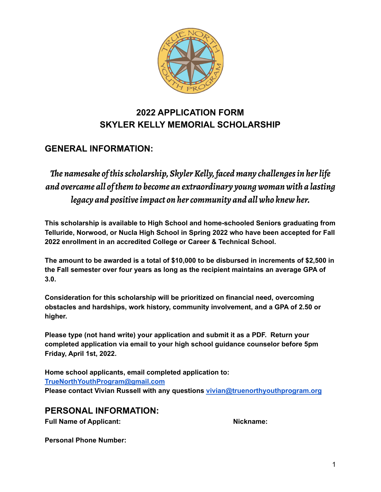

# **2022 APPLICATION FORM SKYLER KELLY MEMORIAL SCHOLARSHIP**

# **GENERAL INFORMATION:**

*The namesake of this scholarship, Skyler Kelly, faced many challenges in her life and overcame all of them to become an extraordinary young woman with a lasting legacy and positive impact on hercommunity and all who knew her.*

**This scholarship is available to High School and home-schooled Seniors graduating from Telluride, Norwood, or Nucla High School in Spring 2022 who have been accepted for Fall 2022 enrollment in an accredited College or Career & Technical School.**

**The amount to be awarded is a total of \$10,000 to be disbursed in increments of \$2,500 in the Fall semester over four years as long as the recipient maintains an average GPA of 3.0.**

**Consideration for this scholarship will be prioritized on financial need, overcoming obstacles and hardships, work history, community involvement, and a GPA of 2.50 or higher.**

**Please type (not hand write) your application and submit it as a PDF. Return your completed application via email to your high school guidance counselor before 5pm Friday, April 1st, 2022.**

**Home school applicants, email completed application to: [TrueNorthYouthProgram@gmail.com](mailto:TrueNorthYouthProgram@gmail.com) Please contact Vivian Russell with any questions [vivian@truenorthyouthprogram.org](mailto:vivian@truenorthyouthprogram.org)**

### **PERSONAL INFORMATION:**

**Full Name of Applicant: Nickname:**

**Personal Phone Number:**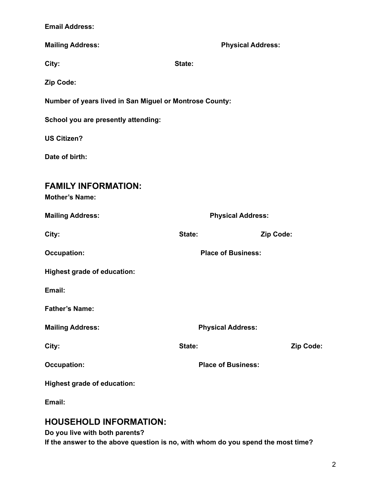|  | <b>Email Address:</b> |  |  |
|--|-----------------------|--|--|
|--|-----------------------|--|--|

| <b>Mailing Address:</b>                                 | <b>Physical Address:</b>  |           |  |
|---------------------------------------------------------|---------------------------|-----------|--|
| City:                                                   | State:                    |           |  |
| Zip Code:                                               |                           |           |  |
| Number of years lived in San Miguel or Montrose County: |                           |           |  |
| School you are presently attending:                     |                           |           |  |
| <b>US Citizen?</b>                                      |                           |           |  |
| Date of birth:                                          |                           |           |  |
| <b>FAMILY INFORMATION:</b><br><b>Mother's Name:</b>     |                           |           |  |
| <b>Mailing Address:</b>                                 | <b>Physical Address:</b>  |           |  |
| City:                                                   | State:                    | Zip Code: |  |
| <b>Occupation:</b>                                      | <b>Place of Business:</b> |           |  |
| <b>Highest grade of education:</b>                      |                           |           |  |
| Email:                                                  |                           |           |  |
| <b>Father's Name:</b>                                   |                           |           |  |
| <b>Mailing Address:</b>                                 | <b>Physical Address:</b>  |           |  |
| City:                                                   | State:                    | Zip Code: |  |
| <b>Occupation:</b>                                      | <b>Place of Business:</b> |           |  |
| <b>Highest grade of education:</b>                      |                           |           |  |
| Email:                                                  |                           |           |  |

# **HOUSEHOLD INFORMATION:**

**Do you live with both parents?**

**If the answer to the above question is no, with whom do you spend the most time?**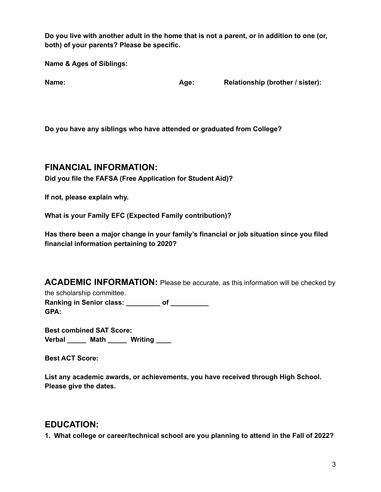Do you live with another adult in the home that is not a parent, or in addition to one (or, **both) of your parents? Please be specific.**

**Name & Ages of Siblings:**

**Name: Age: Relationship (brother / sister):**

**Do you have any siblings who have attended or graduated from College?**

#### **FINANCIAL INFORMATION:**

**Did you file the FAFSA (Free Application for Student Aid)?**

**If not, please explain why.**

**What is your Family EFC (Expected Family contribution)?**

**Has there been a major change in your family's financial or job situation since you filed financial information pertaining to 2020?**

**ACADEMIC INFORMATION:** Please be accurate, as this information will be checked by

the scholarship committee. **Ranking in Senior class: \_\_\_\_\_\_\_\_\_ of \_\_\_\_\_\_\_\_\_\_ GPA:**

**Best combined SAT Score: Verbal \_\_\_\_\_ Math \_\_\_\_\_ Writing \_\_\_\_**

**Best ACT Score:**

**List any academic awards, or achievements, you have received through High School. Please give the dates.**

### **EDUCATION:**

**1. What college or career/technical school are you planning to attend in the Fall of 2022?**